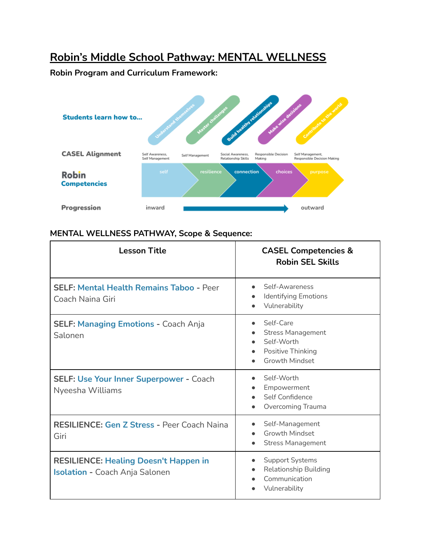## **Robin's Middle School Pathway: MENTAL WELLNESS**

**Robin Program and Curriculum Framework:**



## **MENTAL WELLNESS PATHWAY, Scope & Sequence:**

| <b>Lesson Title</b>                                                                   | <b>CASEL Competencies &amp;</b><br><b>Robin SEL Skills</b>                                        |
|---------------------------------------------------------------------------------------|---------------------------------------------------------------------------------------------------|
| <b>SELF: Mental Health Remains Taboo - Peer</b><br>Coach Naina Giri                   | Self-Awareness<br>Identifying Emotions<br>Vulnerability                                           |
| <b>SELF: Managing Emotions - Coach Anja</b><br>Salonen                                | Self-Care<br><b>Stress Management</b><br>Self-Worth<br>Positive Thinking<br><b>Growth Mindset</b> |
| <b>SELF: Use Your Inner Superpower - Coach</b><br>Nyeesha Williams                    | Self-Worth<br>Empowerment<br>Self Confidence<br>Overcoming Trauma                                 |
| <b>RESILIENCE: Gen Z Stress - Peer Coach Naina</b><br>Giri                            | Self-Management<br><b>Growth Mindset</b><br><b>Stress Management</b>                              |
| <b>RESILIENCE: Healing Doesn't Happen in</b><br><b>Isolation - Coach Anja Salonen</b> | <b>Support Systems</b><br><b>Relationship Building</b><br>Communication<br>Vulnerability          |